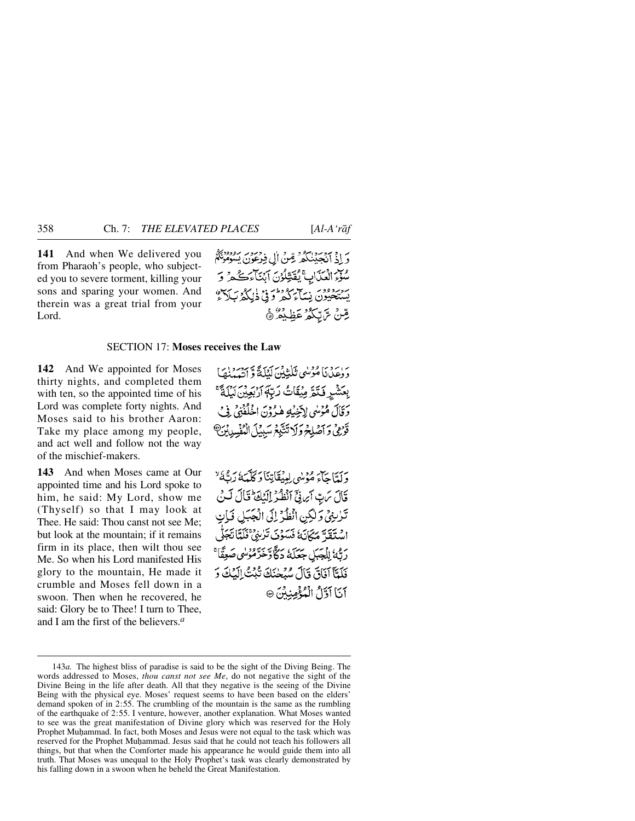**141** And when We delivered you from Pharaoh's people, who subjected you to severe torment, killing your sons and sparing your women. And therein was a great trial from your Lord.

وَ إِذْ أَنْجَيْنَكُمْ قِنْ إِلِ فِرْعَوْنَ يَسُوْمُوْنَهُمْ سُوَّعِ الْعَدَابِ بِمُقَتِّلُوْنَ آَبِنَاءَ كُمْ وَ سرسودون نساء كثر وفي ذلكة سَدَع و مِّنْ تَ<sub>ا</sub>تِّكُمُ عَظِيْمٌ ۞

## SECTION 17: **Moses receives the Law**

**142** And We appointed for Moses thirty nights, and completed them with ten, so the appointed time of his Lord was complete forty nights. And Moses said to his brother Aaron: Take my place among my people, and act well and follow not the way of the mischief-makers.

**143** And when Moses came at Our appointed time and his Lord spoke to him, he said: My Lord, show me (Thyself) so that I may look at Thee. He said: Thou canst not see Me; but look at the mountain; if it remains firm in its place, then wilt thou see Me. So when his Lord manifested His glory to the mountain, He made it crumble and Moses fell down in a swoon. Then when he recovered, he said: Glory be to Thee! I turn to Thee, and I am the first of the believers.*<sup>a</sup>*

بْرِ دِينَ مُؤْسُى تَلْتَبِيْنَ لَيْلَةً وَ آَيْسَنْهَا بِعَشْرٍ فَتَمَّ مِيْقَاتُ رَبِّ إِرْبِعِينَ لَيْلَةٌ ۚ دَقَالَ مُمْوسُيِ لِآخِيَٰتِهِ هٰذُوْنَ اخْلُفْنِيْ فِي ۖ قَوْرُفِي وَ أَصْلِحْ وَلَا تَتَّبِعُ سَبِيلَ الْمُفْسِدِينَ ۖ

وَلَعَّاجَاءَ مُؤْمِنُهِي لِمِيْقَاتِنَا وَكَلَّمَهُ نَهْدًا لَهُ أَيْسَاءُ قَالَ يَرِبّ أَيْرِنِّيّ أَنْظُرُ إِلَيْكَ وَقَالَ لَيْنَ تَدْبِنِيْ وَلَٰكِنِ انْظُرْ إِلَى الْجَبَلِ فَبَانِ اسْتَقَدَّ مَكَانَهُ فَسَوْنَ تَرْبِيُّ فَلَمَّاتَجَوُّ رَبُّهُ الْجَبَلِ جَعَلَهُ دَكَّاؤٌخَرَّمُوْسٰي صَعِقًّا ۚ فَلَمَّآ آفَاقَ قَالَ سُبْحٰنَكَ تُبْتُ الْبُكَ وَ آناً آوَّلُ الْمُؤْمِنِيِّنَ ۞

<sup>143</sup>*a.* The highest bliss of paradise is said to be the sight of the Diving Being. The words addressed to Moses, *thou canst not see Me*, do not negative the sight of the Divine Being in the life after death. All that they negative is the seeing of the Divine Being with the physical eye. Moses' request seems to have been based on the elders' demand spoken of in 2:55. The crumbling of the mountain is the same as the rumbling of the earthquake of 2:55. I venture, however, another explanation. What Moses wanted to see was the great manifestation of Divine glory which was reserved for the Holy Prophet Muhammad. In fact, both Moses and Jesus were not equal to the task which was reserved for the Prophet Muhammad. Jesus said that he could not teach his followers all things, but that when the Comforter made his appearance he would guide them into all truth. That Moses was unequal to the Holy Prophet's task was clearly demonstrated by his falling down in a swoon when he beheld the Great Manifestation.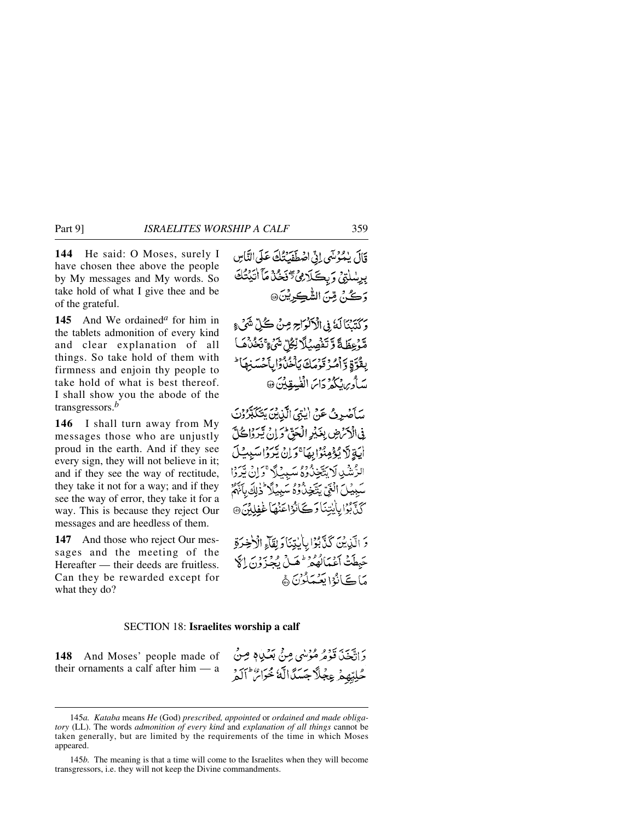Part 9] *ISRAELITES WORSHIP A CALF* 359

**144** He said: O Moses, surely I have chosen thee above the people by My messages and My words. So take hold of what I give thee and be of the grateful.

**145** And We ordained*<sup>a</sup>* for him in the tablets admonition of every kind and clear explanation of all things. So take hold of them with firmness and enjoin thy people to take hold of what is best thereof. I shall show you the abode of the transgressors.*<sup>b</sup>*

**146** I shall turn away from My messages those who are unjustly proud in the earth. And if they see every sign, they will not believe in it; and if they see the way of rectitude, they take it not for a way; and if they see the way of error, they take it for a way. This is because they reject Our messages and are heedless of them.

**147** And those who reject Our messages and the meeting of the Hereafter — their deeds are fruitless. Can they be rewarded except for what they do?

قَالَ يُمْوُسِّي إِنِّي اصْطَفَبَتْلُكَ عَلَى النَّاسِ بِرِسْلَتِيْ وَبِكَلَاهِيُّ تَخْذُمَّا أَتَيْتُكَ وَكُنْ مِّنَ الشَّكِرِيْنَ۞

وَكَتَبَنَاكَ فِي الْآلُوَاجِرِ مِنْ كُلِّ شَيْءٍ مَّوْعِظَةً وَّتَفْصِيۡلًا نِّكُلِّ شَيۡءٍ ۚ نَحُدُهُ ۖ بِقُوَّةِ وَأَمُرُ تَوَمَكَ يَأْخُذُوا بِأَخْسَنِهَا ۚ سَأُورِ، يُكُمْ دَاسَ الْفُسِقِينَ ۞

سَأَصْبِرِثُ عَنْ إيْتِيَ الَّذِينَ يَتَكَبَّرُوْنَ <u>في الْإِنْرَضِ بِغَيْرِ الْجَنَّ وَ إِنْ يَبْرَدُا حُلَّ</u> أَيَةٍ لَا يُؤْمِنُوْابِهَا ۚ وَلِنَ يُرَوُّا سَبِيضَ الرَّشْدِلَا يَتَّخِذُوهُ سَبِيْلًا ۚ وَإِنْ يَّرَوْا سَبِيْلَ الْغَيِّ يَتَّخِذْ وُهُ سَبِيلًا ۚ ذٰٰ لِكَ بِأَنَّهُمْ كَذَّبَوْا بِاٰبِيِّنَا دَ كَيَانُوْاعَنُهَا غَفِلِينَ ۞

وَ الَّذِينَ كَذَّبُوۡۤا بِالْبَنَاوَ لِقَالَهِ الۡاَخِرَةِ حَبِطَتْ أَعْمَالُهُ مِنْ هَمِلْ يُجْزَوْنَ إِلَّ مَاكَيَانُوْا بَعْيَمَلُوْنَ ﴾

### SECTION 18: **Israelites worship a calf**

**148** And Moses' people made of their ornaments a calf after him — a

دَ اتَّبْعَدَ، وَوَوْ هُوْمُهِي مِنْ بَعْثِيبَادٍ مِنْ حُلِيِّهِمْ عِجْلًاجَسَنَّالَّهُ مُحَرَّاً ۚ ٱلْمَرْ

<sup>145</sup>*a. Kataba* means *He* (God) *prescribed, appointed* or *ordained and made obligatory* (LL). The words *admonition of every kind* and *explanation of all things* cannot be taken generally, but are limited by the requirements of the time in which Moses appeared.

<sup>145</sup>*b.* The meaning is that a time will come to the Israelites when they will become transgressors, i.e. they will not keep the Divine commandments.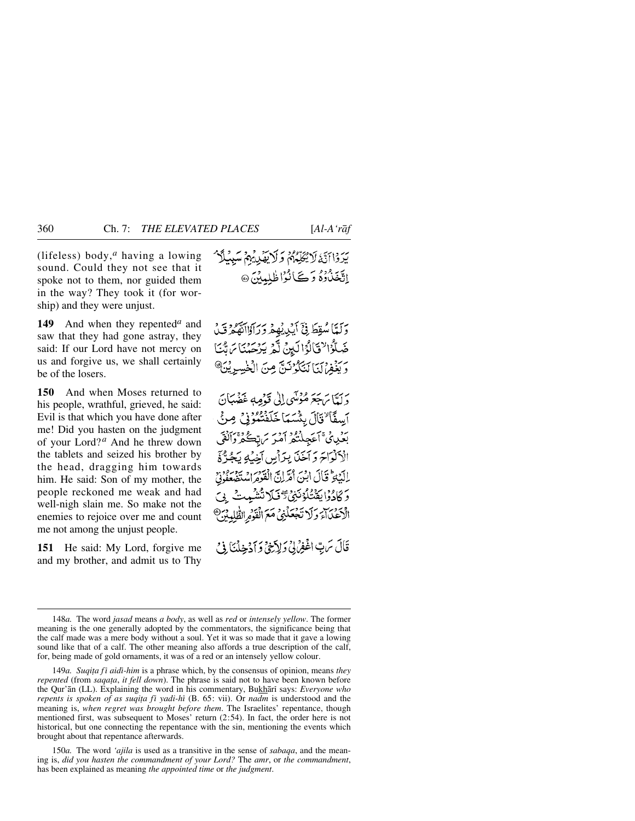(lifeless) body,*<sup>a</sup>* having a lowing sound. Could they not see that it spoke not to them, nor guided them in the way? They took it (for worship) and they were unjust.

**149** And when they repented*<sup>a</sup>* and saw that they had gone astray, they said: If our Lord have not mercy on us and forgive us, we shall certainly be of the losers.

**150** And when Moses returned to his people, wrathful, grieved, he said: Evil is that which you have done after me! Did you hasten on the judgment of your Lord? *<sup>a</sup>* And he threw down the tablets and seized his brother by the head, dragging him towards him. He said: Son of my mother, the people reckoned me weak and had well-nigh slain me. So make not the enemies to rejoice over me and count me not among the unjust people.

**151** He said: My Lord, forgive me and my brother, and admit us to Thy

دَلَّمَّا سُقِطَ فِيَّ أَيْدِيْهِمْ دَرَاوْااتَّهُمْ قَبْلُ ضَلَّوُا لَا تَأْلُوْا لَيِنْ لَّهُ يَرْحَدُنَا مَ بَّنَا مَّ يَغْفِرْيَنَا لَتَكُوْنَنَّ مِنَ الْخَسِرِيْنَ ﴾

وَلَمَّا يَهَجَمَ مُؤْسًى إِلَىٰ قَوْمِهِ عَضُبَانَ آيسفًا "فَأَلَ بِئْسَمَا خَلَفْتُمُوْنِي صِنَّ بۇرى ئىمكىنگىر أەرىر ئىرتكگىر ۋاتقى الكلواح وأخذا براس أخيه يَجُرُّةَ الْبَيْلَةُ قَالَ ابْنَ أُمَّرَانَّ الْقَوْمَ اسْتَضِعْفُونَيْ دَ كَادُوْا بِقَنْتُلُوْنَنِيُّ تَرَفَّلَا تَتَشْمِتْ ۚ دِيَ الْأَعْدَاءَ وَلَا تَجْعَلْنِي مَعَ الْقَوْمِ الظُّلْدِ

قَالَ سَ بِّ اغْفِرْ بِي دَ لِأَبْنَيْ وَ أَدْخِذْنَا فِي مَ

150*a.* The word *'ajila* is used as a transitive in the sense of *sabaqa*, and the meaning is, *did you hasten the commandment of your Lord?* The *amr*, or *the commandment*, has been explained as meaning *the appointed time* or *the judgment*.

<sup>148</sup>*a.* The word *jasad* means *a body*, as well as *red* or *intensely yellow*. The former meaning is the one generally adopted by the commentators, the significance being that the calf made was a mere body without a soul. Yet it was so made that it gave a lowing sound like that of a calf. The other meaning also affords a true description of the calf, for, being made of gold ornaments, it was of a red or an intensely yellow colour.

<sup>149</sup>*a*. Suqița fī aidī-him is a phrase which, by the consensus of opinion, means *they repented* (from *saqa∆a*, *it fell down*). The phrase is said not to have been known before the Qur'an (LL). Explaining the word in his commentary, Bukhari says: *Everyone who repents is spoken of as suqița fī yadi-hī* (B. 65: vii). Or *nadm* is understood and the meaning is, *when regret was brought before them*. The Israelites' repentance, though mentioned first, was subsequent to Moses' return (2:54). In fact, the order here is not historical, but one connecting the repentance with the sin, mentioning the events which brought about that repentance afterwards.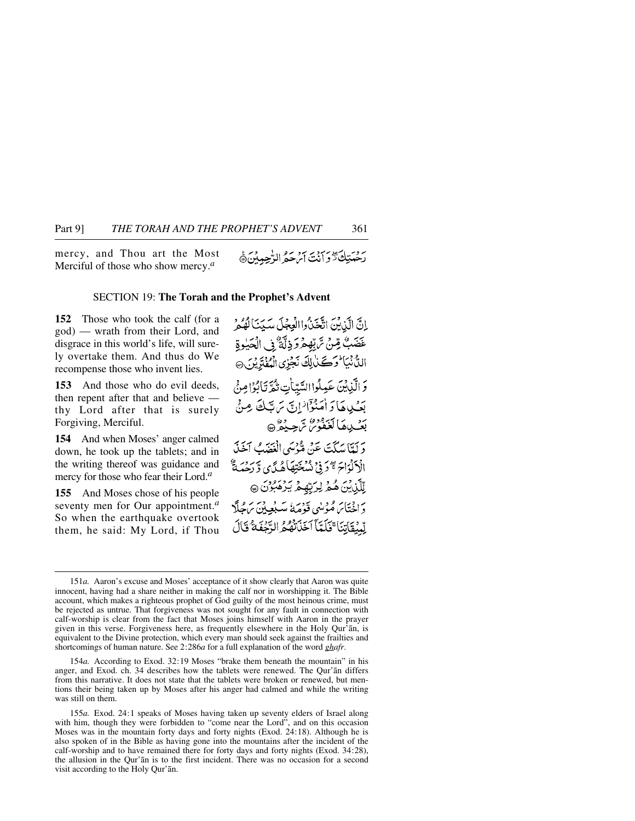mercy, and Thou art the Most Merciful of those who show mercy.*<sup>a</sup>*

### SECTION 19: **The Torah and the Prophet's Advent**

**152** Those who took the calf (for a god) — wrath from their Lord, and disgrace in this world's life, will surely overtake them. And thus do We recompense those who invent lies.

**153** And those who do evil deeds, then repent after that and believe thy Lord after that is surely Forgiving, Merciful.

**154** And when Moses' anger calmed down, he took up the tablets; and in the writing thereof was guidance and mercy for those who fear their Lord.*<sup>a</sup>*

**155** And Moses chose of his people seventy men for Our appointment.*<sup>a</sup>* So when the earthquake overtook them, he said: My Lord, if Thou

اِنَّ الَّذِيْنَ اتَّخَذُواالْعِجْلَ سَيِّنَا لَهُمْ عَضَبٌ مِّنْ تَرَبِّهِمْرَ دِلَّةٌ ۚ فِي الْحَيْوِةِ الدُّنْبَا وَكَنَالِكَ نَجْزِي الْمُفْتَرِيْنِ @ وَالَّذِينَ عَمِلُوا السَّيِّأَتِ ثُمَّ تَأْبُوْا مِنْ بَعْيِدِهَا وَأَمَنُوْٓاٖ ٰإِنَّ سَ تَبَلُّصَ مِنۡ ر.<br>بعب ها كغفور شرجيفر@ دَ كَتَامَدِيَّتَ عَنْ قَدْمَهِي الْغَيَّبُ آخَذَ الْأَكْبَاحَ #دَنِيْ نُسْخَتِهَاهُ يَي وَرَحْبَةٌ ۚ لِّلَّيْنِيْنَ هُمُّ لِرَبِّهِمْ يَرْهَبُوْنَ @ وَإِخْتَابَرَهُ مُؤْمِنُهِي وَدِمَهُ مَسْبُعِينَ بِرَحْلَةِ لِّهِيْقَاتِنَا ۚ فَلَمَّاۤ ٱخْذَتْهُمُّ الرَّجْفَةُ قَالَ

154*a.* According to Exod. 32:19 Moses "brake them beneath the mountain" in his anger, and Exod. ch. 34 describes how the tablets were renewed. The Qur'ån differs from this narrative. It does not state that the tablets were broken or renewed, but mentions their being taken up by Moses after his anger had calmed and while the writing was still on them.

<sup>151</sup>*a.* Aaron's excuse and Moses' acceptance of it show clearly that Aaron was quite innocent, having had a share neither in making the calf nor in worshipping it. The Bible account, which makes a righteous prophet of God guilty of the most heinous crime, must be rejected as untrue. That forgiveness was not sought for any fault in connection with calf-worship is clear from the fact that Moses joins himself with Aaron in the prayer given in this verse. Forgiveness here, as frequently elsewhere in the Holy Qur'ån, is equivalent to the Divine protection, which every man should seek against the frailties and shortcomings of human nature. See 2:286*a* for a full explanation of the word *ghafr*.

<sup>155</sup>*a.* Exod. 24:1 speaks of Moses having taken up seventy elders of Israel along with him, though they were forbidden to "come near the Lord", and on this occasion Moses was in the mountain forty days and forty nights (Exod. 24:18). Although he is also spoken of in the Bible as having gone into the mountains after the incident of the calf-worship and to have remained there for forty days and forty nights (Exod. 34:28), the allusion in the Qur'ån is to the first incident. There was no occasion for a second visit according to the Holy Qur'ån.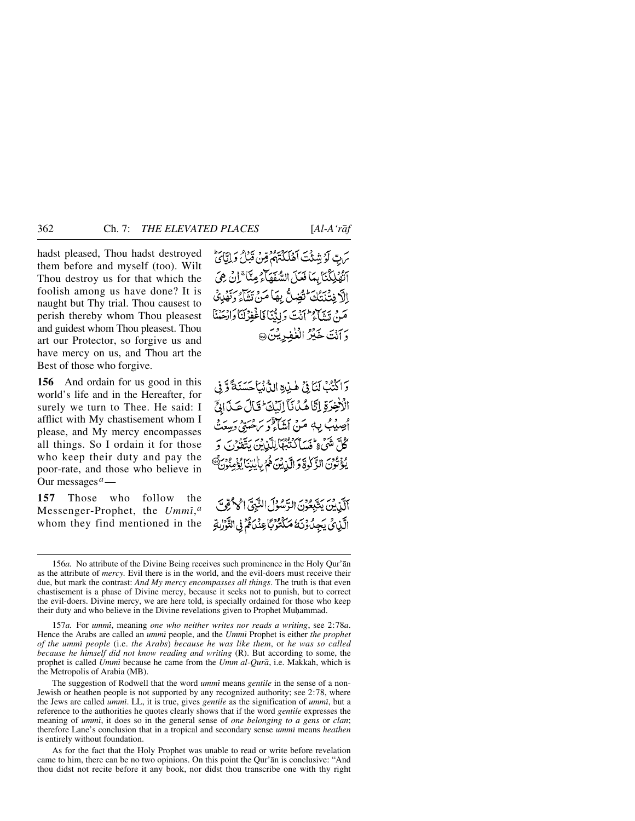hadst pleased, Thou hadst destroyed them before and myself (too). Wilt Thou destroy us for that which the foolish among us have done? It is naught but Thy trial. Thou causest to perish thereby whom Thou pleasest and guidest whom Thou pleasest. Thou art our Protector, so forgive us and have mercy on us, and Thou art the Best of those who forgive.

**156** And ordain for us good in this world's life and in the Hereafter, for surely we turn to Thee. He said: I afflict with My chastisement whom I please, and My mercy encompasses all things. So I ordain it for those who keep their duty and pay the poor-rate, and those who believe in Our messages*a*—

**157** Those who follow the Messenger-Prophet, the *Ummß*,*<sup>a</sup>* whom they find mentioned in the

س بِّ لَوۡ شِئۡتَ أَهۡلَٰكُمۡهُمۡ مِّنۡ قَبَٰلُ وَ إِيَّاىَٰ الْهُلِكُنَابِهَا نَعَلَ السَّفَهَاءُ مِنَّا َإِنْ هِىَ الْأَرْفِتْنِتْكَ تَقْسِلُّ بِهَا مَنْ تَتَنَاءُ وَتَقْدِي مَنْ تَيْتَأَرْ أَنْتَ دَلِدٌّنَا فَأَغْفِرْكَنَا وَانْجَنْنَا دَ آنْتَ خَيْرُ الْغُفِرِيْنَ@

وَ اكْنُبُ لَنَا فِيٍّ هٰذِهِ اللَّهُ نَبَا حَسَنَةً وَّ فِي الْأَخِرَةِ إِنَّا هُدُنَا إِلَيْكَ لَا تَالَ عَدَانَيْ أَصِيْبُ بِهِ مَنْ اَشَاءُ وَ يَهْتَبِيْ رَمِيْهِ ݣُلِّ شَيْءٍ أَنْسَاكَنْتُهُا لِلَّذِيْنَ يَتَقُوْنَ وَ يُؤْتُونَ الزَّكْرِةَ وَ الَّذِيْنَ هُمْ بِأَبْدَنَا يُؤْمِنُونَ ۗ

أَلَّنْ بِنَ يَتَبِعُونَ الرَّسُولَ النَّبِيِّ الْحَلْمُومِّي الَّذِي يَجِيدُوۡنَهُٗ مَكۡتُوۡنَمَا عِنۡدَاهُمۡ فِی التَّوۡرٰىٰتِهِ

157*a.* For *ummß*, meaning *one who neither writes nor reads a writing*, see 2:78*a*. Hence the Arabs are called an *ummi* people, and the *Ummi* Prophet is either *the prophet of the ummß people* (i.e. *the Arabs*) *because he was like them*, or *he was so called because he himself did not know reading and writing* (R). But according to some, the prophet is called *Ummß* because he came from the *Umm al-Qurå*, i.e. Makkah, which is the Metropolis of Arabia (MB).

The suggestion of Rodwell that the word *ummi* means *gentile* in the sense of a non-Jewish or heathen people is not supported by any recognized authority; see 2:78, where the Jews are called *ummß*. LL, it is true, gives *gentile* as the signification of *ummß*, but a reference to the authorities he quotes clearly shows that if the word *gentile* expresses the meaning of *ummß*, it does so in the general sense of *one belonging to a gens* or *clan*; therefore Lane's conclusion that in a tropical and secondary sense *ummi* means *heathen* is entirely without foundation.

As for the fact that the Holy Prophet was unable to read or write before revelation came to him, there can be no two opinions. On this point the Qur'ån is conclusive: "And thou didst not recite before it any book, nor didst thou transcribe one with thy right

<sup>156</sup>*a.* No attribute of the Divine Being receives such prominence in the Holy Qur'ån as the attribute of *mercy.* Evil there is in the world, and the evil-doers must receive their due, but mark the contrast: *And My mercy encompasses all things*. The truth is that even chastisement is a phase of Divine mercy, because it seeks not to punish, but to correct the evil-doers. Divine mercy, we are here told, is specially ordained for those who keep their duty and who believe in the Divine revelations given to Prophet Muhammad.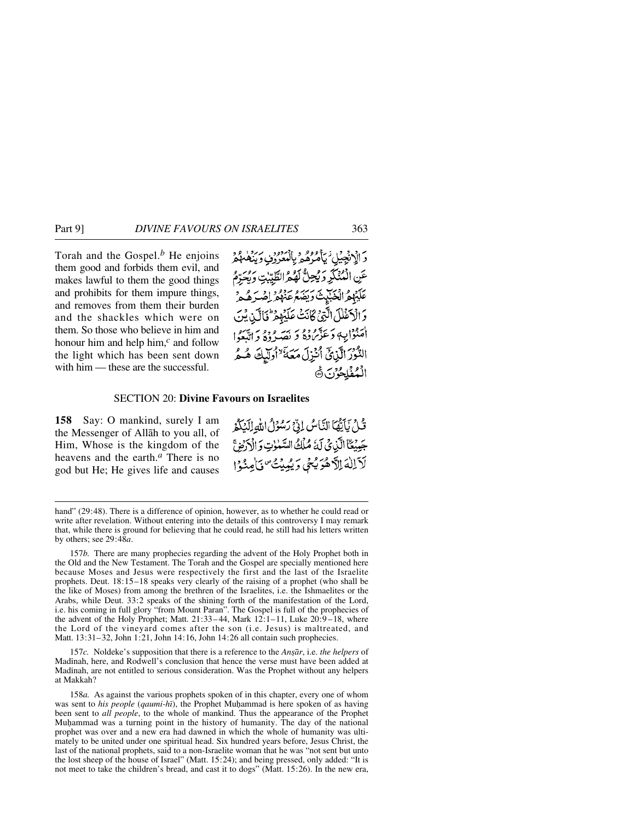Torah and the Gospel.*<sup>b</sup>* He enjoins them good and forbids them evil, and makes lawful to them the good things and prohibits for them impure things, and removes from them their burden and the shackles which were on them. So those who believe in him and honour him and help him,*<sup>c</sup>* and follow the light which has been sent down with him — these are the successful.

دَ الْإِنْجِيْلِ ٰ يَأْمُرُهُمْ بِالْمُعْرُوْنِ وَيَنْفَعْهُمْ عَنِ الْمُنْكَرِ وَيُحِلُّ لَهُمُّ الطَّيِّبٰتِ وَيُحَرِّمُ عَلَيْهِمُ الْخَبْلِيثَ دِينِهِمْ عَنْهُمْ أَصْدَهُ مِ وَالْأَعْلَلَ الَّتِيْ كَانَتْ عَلَيْهِمْ فَالَّذِينَ أُمَنُوْا بِهِ وَعَذَّبَ وَهُ بِهِ يَهْرِ وَهِ وَ اتَّبَعُوا التُّوْرَ الَّذِينَ أُنْزِلَ مَعَهَّ ٌ أُولِّيكَ هُـمُّ الْمُفْلِحُوْنَ ١٥

#### SECTION 20: **Divine Favours on Israelites**

**158** Say: O mankind, surely I am the Messenger of Allåh to you all, of Him, Whose is the kingdom of the heavens and the earth.*<sup>a</sup>* There is no god but He; He gives life and causes قُلْ يَأْيَّهَا النَّاسُ إِنِّ رَسُوْلُ اللهِ إِلَيْكُمْ جَبِيْتًا الَّذِيْ لَهُ مُلْكُ السَّنْوٰتِ وَالْأَرْضِ لآللهَ الآهُوَيْسُي وَيُبِيِّتُ فَاعِنُوْا

157*b.* There are many prophecies regarding the advent of the Holy Prophet both in the Old and the New Testament. The Torah and the Gospel are specially mentioned here because Moses and Jesus were respectively the first and the last of the Israelite prophets. Deut. 18:15–18 speaks very clearly of the raising of a prophet (who shall be the like of Moses) from among the brethren of the Israelites, i.e. the Ishmaelites or the Arabs, while Deut. 33:2 speaks of the shining forth of the manifestation of the Lord, i.e. his coming in full glory "from Mount Paran". The Gospel is full of the prophecies of the advent of the Holy Prophet; Matt.  $21:33-44$ , Mark  $12:1-11$ , Luke  $20:9-18$ , where the Lord of the vineyard comes after the son (i.e. Jesus) is maltreated, and Matt. 13:31–32, John 1:21, John 14:16, John 14:26 all contain such prophecies.

157*c*. Noldeke's supposition that there is a reference to the *Ansār*, i.e. *the helpers* of Madinah, here, and Rodwell's conclusion that hence the verse must have been added at Madinah, are not entitled to serious consideration. Was the Prophet without any helpers at Makkah?

158*a.* As against the various prophets spoken of in this chapter, every one of whom was sent to *his people* (*qaumi-hi*), the Prophet Muhammad is here spoken of as having been sent to *all people*, to the whole of mankind. Thus the appearance of the Prophet Muhammad was a turning point in the history of humanity. The day of the national prophet was over and a new era had dawned in which the whole of humanity was ultimately to be united under one spiritual head. Six hundred years before, Jesus Christ, the last of the national prophets, said to a non-Israelite woman that he was "not sent but unto the lost sheep of the house of Israel" (Matt. 15:24); and being pressed, only added: "It is not meet to take the children's bread, and cast it to dogs" (Matt. 15:26). In the new era,

hand" (29:48). There is a difference of opinion, however, as to whether he could read or write after revelation. Without entering into the details of this controversy I may remark that, while there is ground for believing that he could read, he still had his letters written by others; see 29:48*a*.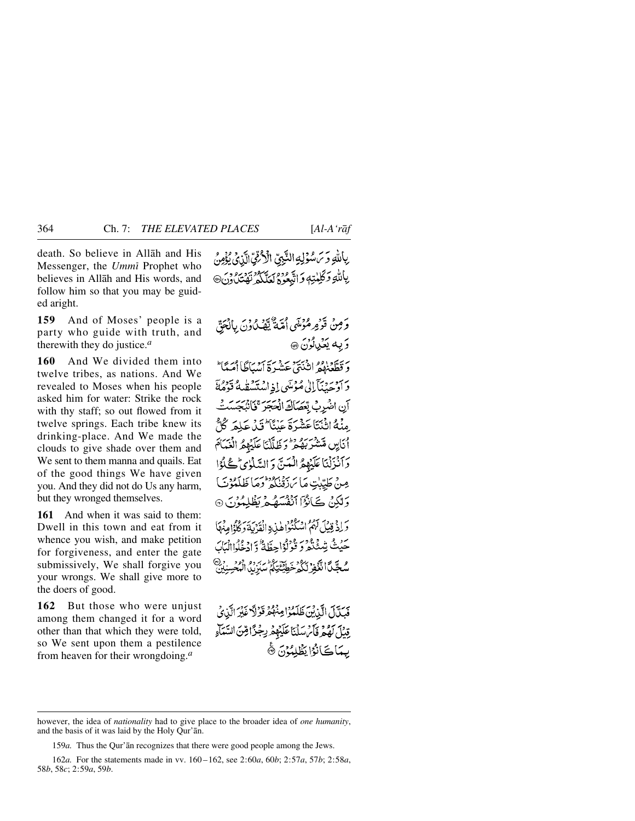death. So believe in Allåh and His Messenger, the *Ummß* Prophet who believes in Allåh and His words, and follow him so that you may be guided aright.

**159** And of Moses' people is a party who guide with truth, and therewith they do justice.*<sup>a</sup>*

**160** And We divided them into twelve tribes, as nations. And We revealed to Moses when his people asked him for water: Strike the rock with thy staff; so out flowed from it twelve springs. Each tribe knew its drinking-place. And We made the clouds to give shade over them and We sent to them manna and quails. Eat of the good things We have given you. And they did not do Us any harm, but they wronged themselves.

**161** And when it was said to them: Dwell in this town and eat from it whence you wish, and make petition for forgiveness, and enter the gate submissively, We shall forgive you your wrongs. We shall give more to the doers of good.

**162** But those who were unjust among them changed it for a word other than that which they were told, so We sent upon them a pestilence from heaven for their wrongdoing.*<sup>a</sup>*

رِبِاللَّهِ وَسَسْؤَلِهِ النَّبِيِّ الْأَرْقِيِّ الَّذِي يُؤْمِنُ بِاللَّهِ وَكَلِمْتِهِ وَاتَّبِعُوهُ لَعَلَّكُمْ نَفَتِيْ دُنِّ @

وَمِنْ قَوْمِ مُؤْسَى أُمَّةٌ يَّهْدُ دُونَ بِالْجَنَّ وَيه يَعْدِلُونَ @

وَقَطَّعَنَّهُمُ انْبُهَجَ حَشَيرَةَ أَسْبَاطًا أَمَيَّا ۖ دَ أَدْحَيْنَآَ إِلَىٰ مُؤْسَى إِذِ اسْتَسْقَلْهُ قَوْمُةً آن اضْرِبْ بْعَصَاكَ الْحَجَرَ ۚ فَانْبَجَسَتْ مِنْهُ اثْنَتَاعَشْرَةَ عَنْنَا ۖ تَدْعَلِمَ كُلُّ أنايِن مَّشْرَبَهُ مِرّْ رَظَلَّكْنَا عَلَيْهِمُ الْغَيَامَ وَأَنْزَلْنَا عَلَيْهِمُّ الْعَيِّ وَ السَّلْوٰيِّ كُلُوَّا مِنْ طَيِّبِٰتِ مَاسَ زَقْنَكُمْ وَمَا ظَلَمْوُنَ) وَلَٰكِنۡ ڪَأَنُوۡٓا ٱنۡفُسَهُمۡ رَغۡلِمُوۡنَ ۞ وَلِذَبْنِيلَ لَهُمُ اسْكُنُوا هٰذِهِ الْقَدْيَةَ وَكُلُّهُ مِنْهَاً حَيْثُ شِيْنَجْ دَ وَقَوْلُوْاحِظَةً وَادْفُرِالِيَابَ و حَيَّلَ الْغَفِرْ لَكُوْخَطِيْتَيْ الرَّبِّ وَ وَوَجَعَ رَبِّ

فَيَكَّلَ الَّذِيْنَ ظَلَّمُوْا مِنْهُمْ قَوْلاً غَيْرَ الَّذِي قِيلَ لَهُمْ ذَلَى سَلَنَا عَلَيْهِمْ بِجُزًا قِنَ السَّمَاءِ بِيمَاكَانُوُا يَظْلِمُوْنَ ۞

159*a.* Thus the Qur'ån recognizes that there were good people among the Jews.

162*a.* For the statements made in vv. 160 –162, see 2:60*a*, 60*b*; 2:57*a*, 57*b*; 2:58*a*, 58*b*, 58*c*; 2:59*a*, 59*b*.

however, the idea of *nationality* had to give place to the broader idea of *one humanity*, and the basis of it was laid by the Holy Qur'ån.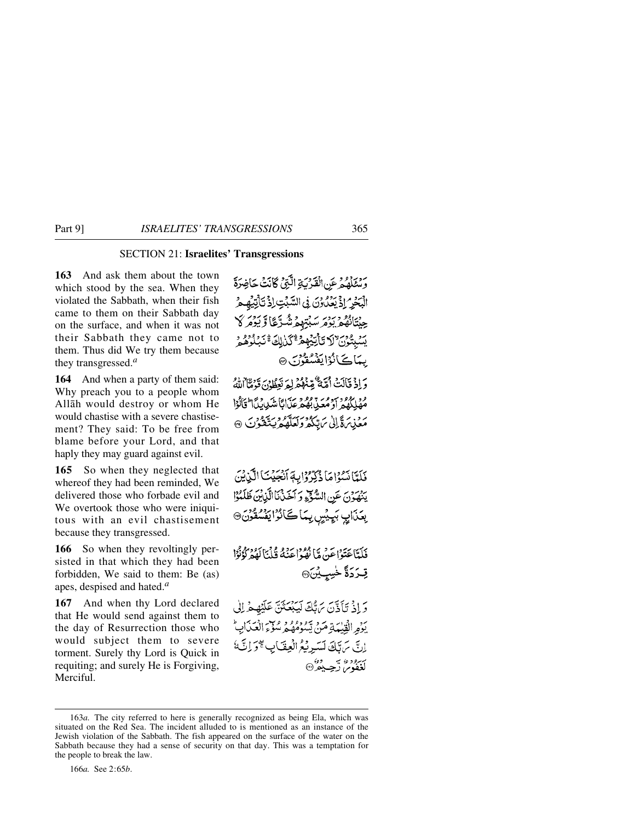# SECTION 21: **Israelites' Transgressions**

**163** And ask them about the town which stood by the sea. When they violated the Sabbath, when their fish came to them on their Sabbath day on the surface, and when it was not their Sabbath they came not to them. Thus did We try them because they transgressed.*<sup>a</sup>*

**164** And when a party of them said: Why preach you to a people whom Allåh would destroy or whom He would chastise with a severe chastisement? They said: To be free from blame before your Lord, and that haply they may guard against evil.

**165** So when they neglected that whereof they had been reminded, We delivered those who forbade evil and We overtook those who were iniquitous with an evil chastisement because they transgressed.

**166** So when they revoltingly persisted in that which they had been forbidden, We said to them: Be (as) apes, despised and hated.*<sup>a</sup>*

**167** And when thy Lord declared that He would send against them to the day of Resurrection those who would subject them to severe torment. Surely thy Lord is Quick in requiting; and surely He is Forgiving, Merciful.

وَمُتَلَمُهُ عَنِ الْقَدْسَةِ الَّذِي كَانَتُ جَاخِدَةَ الْبَحْرُ إِذْ يَعْدُوْنَ فِي السَّبْتِ إِذْ تَأْتِيْهِ هِرُ حِينَتَانُهُمْ يَوْمَرْ سَبْتِهِمْ شُرِّعًا وَيَوْمَرْ كَا يَسُبِتُونَ "لَا تَأْتِيَّهُمْ ۚ كَنْ لِكَ ۚ نَبِئُوْهُمْ بِمَاكَانُوْايَفْسُقُوْنَ ۞

دَادْ قَالَتْ أُمَّةٌ مُّنْهُمْ لِهَ يَبْلِهِ، يَهْ مَّا اللَّهُ مُصْلِكُهُمْ أَوْمُعَيْدِيْهُمْ عَبَالَا شَدِيبِيَّا أَتَأَلُوْا مَعْنِينَ قَالِي سَيِّنَكُّ وَلَعَلَّهُ وَيَتَكَوُّنَ ۞

فَلَعًانَسُوْاهَا ذُكِّرُوْابِهَ أَنْجَيْنَا الَّذِيْنَ يَنْهَوْنَ عَنِ السَّوْءِ وَ أَخَذْنَا الَّذِينَ ظَلَمُوْا بِعَدَابِ بَيِيْسٍ بِمَاكَانُوْايَفْسُقُونَ®

فَلَدَّاعَتَوْاعَنْ مَّا نُفُوْاعَنْهُ قُلْنَالَهُمْرُ ذُوُّرًا قِعَرَدَةً خُسِيِيْنَ۞

وَإِذْ تَأَذَّنَ يَهَبَّكَ لَيَبْعَثَنَّ عَلَيْهِمْ إِلَى ر.<br>يوو القِيْمَةِ مَن يَسُوْمُهُمْ سُوْءَ العَدَابِ انَّ سَنَّكَ لَسَبِرِيْكُمُ الْعِقَبَابِ گَوَ إِنَّ لَمُ ر دوه سه ده»<br>لغفوس رجب ده

166*a.* See 2:65*b*.

<sup>163</sup>*a.* The city referred to here is generally recognized as being Ela, which was situated on the Red Sea. The incident alluded to is mentioned as an instance of the Jewish violation of the Sabbath. The fish appeared on the surface of the water on the Sabbath because they had a sense of security on that day. This was a temptation for the people to break the law.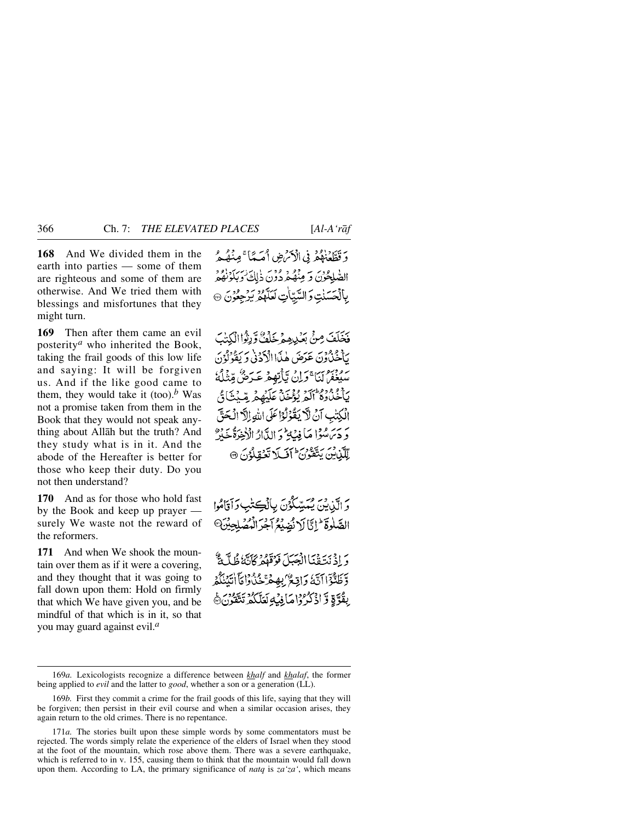**168** And We divided them in the earth into parties — some of them are righteous and some of them are otherwise. And We tried them with blessings and misfortunes that they might turn.

**169** Then after them came an evil posterity*<sup>a</sup>* who inherited the Book, taking the frail goods of this low life and saying: It will be forgiven us. And if the like good came to them, they would take it (too).<sup>*b*</sup> Was not a promise taken from them in the Book that they would not speak anything about Allåh but the truth? And they study what is in it. And the abode of the Hereafter is better for those who keep their duty. Do you not then understand?

**170** And as for those who hold fast by the Book and keep up prayer surely We waste not the reward of the reformers.

**171** And when We shook the mountain over them as if it were a covering, and they thought that it was going to fall down upon them: Hold on firmly that which We have given you, and be mindful of that which is in it, so that you may guard against evil.*<sup>a</sup>*

وَقَطَّعْنَهُمْ فِي الْأَمْرُضِ أَمَيَّهَا ۚ مِنْهُ هُرُ الصّْلِحُوْنَ وَ مِنْهُمْ دُوْنَ ذٰلِكَ ٰوَبَكَوْنَهُمْ بِأَنْحَسَنْتِ وَالسَّيِّبَاٰتِ لَعَلَّهُمْ بَرْجِعُوْنَ ۞

فَخَلَفَ مِنْ بَعْيْدِهِمْ خَلْفٌ وَ زِنْواالْكِتَٰبَ يَأْخُذُونَ عَرَضَ هٰذَا الْأَدَنْ وَيَقُوْلُوْنَ سَفَعْفُرُ لَنَا ۚ وَلِنۡ تِّأَنِّهِمۡ عَـرَضُ مِّنْنَآءُ ۚ يَأْخُلُوهُ أَلَمُ يُؤْخُلُ عَلَيْهِمْ مِّيْتَ أَيُّ الْكِتْبِ آنْ لَا يَقُوْلُوْا عَلَى اللهِ اِلَّا الْحَقَّ وَدَى سُوَّا مَا فِيَةٍ وَ الدَّارُ الْأَخِرَةُ خَيْرٌ لِّكَّنِينَ يَتَّقُونَ ۚ أَفَىلَا تَعۡقِلُوۡنَ ۞

وَ الَّذِينَ يُمَسِّكُوۡنَ بِالۡكِتَٰبِ وَآَقَامُوا الصَّلُوةَ إِنَّا لَا نُصَيِّعُ آَجَرَ الْمُصَلِّحِيْنَ @

وَإِذْ نَتَقْنَاالْجَبَلَ فَوَقَهُمْ كَأَنَّهُ ظُلَّمَةٌ دِّظَنُّوۡۤاَاتَكَ وَاقِعُرَۢ بِهِمْ ۡحَنۡاُوٰاَهَاۤاٰتَيۡنَكُمۡر بِقُوَّةٍ وَّ اذْكُرُوا مَا فِيَٰهِ لَعَلَّكُمْ تَتَقُونَ

<sup>169</sup>*a.* Lexicologists recognize a difference between *khalf* and *khalaf*, the former being applied to *evil* and the latter to *good*, whether a son or a generation (LL).

<sup>169</sup>*b.* First they commit a crime for the frail goods of this life, saying that they will be forgiven; then persist in their evil course and when a similar occasion arises, they again return to the old crimes. There is no repentance.

<sup>171</sup>*a.* The stories built upon these simple words by some commentators must be rejected. The words simply relate the experience of the elders of Israel when they stood at the foot of the mountain, which rose above them. There was a severe earthquake, which is referred to in v. 155, causing them to think that the mountain would fall down upon them. According to LA, the primary significance of *natq* is *za'za'*, which means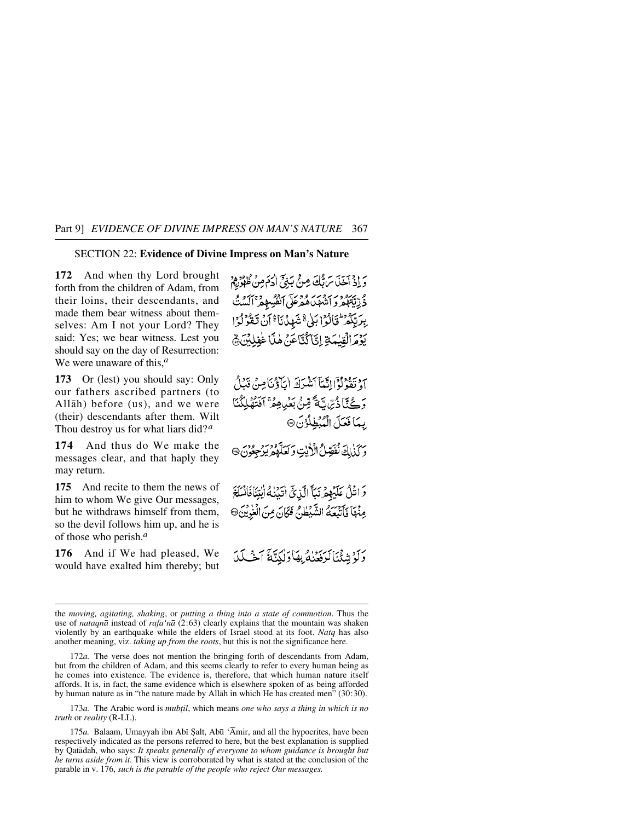## SECTION 22: **Evidence of Divine Impress on Man's Nature**

**172** And when thy Lord brought forth from the children of Adam, from their loins, their descendants, and made them bear witness about themselves: Am I not your Lord? They said: Yes; we bear witness. Lest you should say on the day of Resurrection: We were unaware of this,*<sup>a</sup>*

**173** Or (lest) you should say: Only our fathers ascribed partners (to Allåh) before (us), and we were (their) descendants after them. Wilt Thou destroy us for what liars did?*<sup>a</sup>*

**174** And thus do We make the messages clear, and that haply they may return.

**175** And recite to them the news of him to whom We give Our messages, but he withdraws himself from them, so the devil follows him up, and he is of those who perish.*<sup>a</sup>*

**176** And if We had pleased, We would have exalted him thereby; but وَ إِذْ آخَذَ سَ ثَلُّكَ مِنْ بَنِيَّ إِدَهَ مِنْ ظَهُورِهِ و وُدِّيِّتَهُمْ وِ انْهُدَهُ مُدْعَلَى أَنْفُسِهِمْ ٱلْبَدِيُّ بِرَبِّكُمْ تَخَالُوْا بَلْيٌّ شَهِدْنَا ۚ أَنْ تَقْوُلُوْا يَوْمَ الْقِيْمَةِ إِنَّا َكُتَّاعَنَ هٰذَا غَفِلِيْنَ ﴾

٦. وَيَدْفِرُوْا إِنَّيْئَآَ أَمَثْتُرَكَهُ أَيَّاؤُنَّا مِنْ قَدَلْ وَكْتَادُّسِّيَّةً مِّنْ بَعْدِهِمْ ۚ آنَتُهُلِكُنَا بِّعَا فَعَلَ الْمُبْطِلُوْنَ ۞

و كذلك نفصِّ الأيّ و لعلّه و و و و و و و .

وَانْثَلُ عَلَيْهِمْ نَبَأَ الَّذِيِّ أَتَيْنَٰهُ أَيْتِنَافَانَسَلَخَ مِنْهَا فَأَتَبَعَهُ الشَّيْطُنُ فَكَانَ مِنَ الْغُرِيْنَ@

وَلَوْشِئْنَالَرَفَعُنْهُ بِهَا وَلٰكِنَّةَ آَخَـٰكَدَ

172*a.* The verse does not mention the bringing forth of descendants from Adam, but from the children of Adam, and this seems clearly to refer to every human being as he comes into existence. The evidence is, therefore, that which human nature itself affords. It is, in fact, the same evidence which is elsewhere spoken of as being afforded by human nature as in "the nature made by Allåh in which He has created men" (30:30).

173*a*. The Arabic word is *mubtil*, which means *one who says a thing in which is no truth* or *reality* (R-LL).

175*a*. Balaam, Umayyah ibn Abī Şalt, Abū ´Āmir, and all the hypocrites, have been respectively indicated as the persons referred to here, but the best explanation is supplied by Qatådah, who says: *It speaks generally of everyone to whom guidance is brought but he turns aside from it*. This view is corroborated by what is stated at the conclusion of the parable in v. 176, *such is the parable of the people who reject Our messages.*

the *moving, agitating, shaking*, or *putting a thing into a state of commotion*. Thus the use of *nataqnå* instead of *rafa'nå* (2:63) clearly explains that the mountain was shaken violently by an earthquake while the elders of Israel stood at its foot. *Natq* has also another meaning, viz. *taking up from the roots*, but this is not the significance here.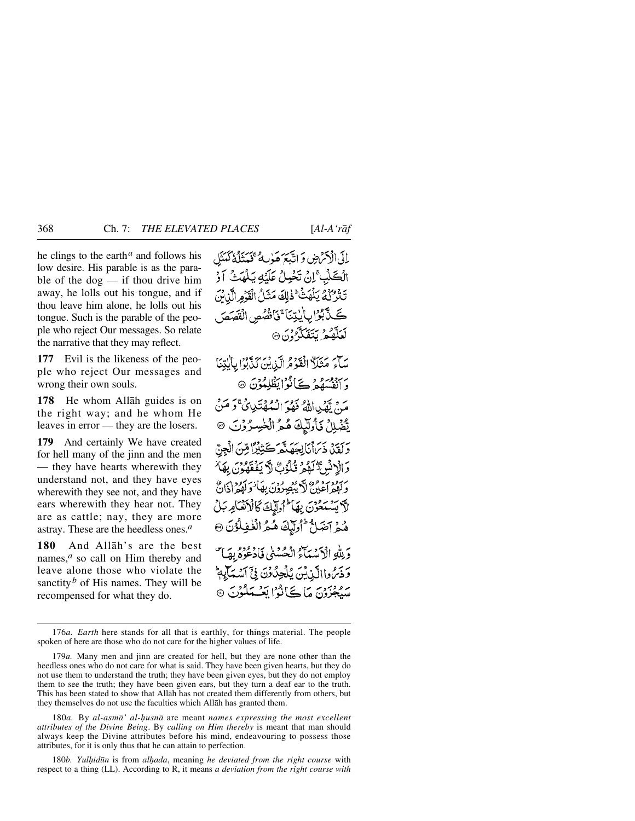he clings to the earth*<sup>a</sup>* and follows his low desire. His parable is as the parable of the  $\log$  — if thou drive him away, he lolls out his tongue, and if thou leave him alone, he lolls out his tongue. Such is the parable of the people who reject Our messages. So relate the narrative that they may reflect.

**177** Evil is the likeness of the people who reject Our messages and wrong their own souls.

**178** He whom Allåh guides is on the right way; and he whom He leaves in error — they are the losers.

**179** And certainly We have created for hell many of the jinn and the men — they have hearts wherewith they understand not, and they have eyes wherewith they see not, and they have ears wherewith they hear not. They are as cattle; nay, they are more astray. These are the heedless ones.*<sup>a</sup>*

**180** And Allåh's are the best names,<sup>*a*</sup> so call on Him thereby and leave alone those who violate the sanctity<sup>*b*</sup> of His names. They will be recompensed for what they do.

لِلَى الْإِحْرَضِ وَ اتَّبَعَ هَوٰبِهُ عَمْدَتُلُّهُ كَهَنَّل الْكَلْبِ ۚ إِنْ تَخْبِلْ عَلَيۡهِ يَـٰلُهَتۡ ۖ آوُ تَتْزَرْكُمُ يَلْهَنَّ ۖ ذٰلِكَ مَثَلُ الْقَدُمِ الَّذِرَبَ كَيْدَّبُوَّا بِأَنْتِنَا ۚ فَأَنْصُصِ الْقَصَصَ ن دي.<br>لغله د برن تفكي<sup>ه د</sup>ي.

سَاءَ مَثَلًا الْقَوْمُ الَّذِينَ كَذَّبُوْا بِالْتِنَا بربوبرو و ڪائوايظلمون @ مَنْ يَّهْمِياالِّهُ فَهْرَ الْمُهْفَتَدِيِّيَ وَ مَنْ يْتّْهَٰبِلِلْ فَأُولَٰٓبِكَ هُمُ الۡخٰبِسِرُوۡنَ ۞ دَ كَفَدْ، ذَيْرَاْنَالِحَصَنَّهُمْ ڪَتِبْدُّا مِينَ الْجِنَّ دَ الْآلَمْ وَلَوْلُوْتُ لَآلَ يَفْقَهُوْنَ بِهَا ُ بِهِ وَمَدْمٍ وَمِنْ لَا يُبْصِرُونَ بِهَا يَوَ أَدْوَادٍ إِلَيْ لاَ يَسْتَعْوُنَ بِهَا أَوْلَيْكَ كَالْأَنْكَامِ بَلْ هُمْ آصَلٌ "اُولَّيْكَ هُمُ الْغُفِلُوُنَ ۞ وَ بِلَّهِ الْأَيْسَمَآءُ الْحُسْنَى فَادْعُوْهُ بِهَا ۚ وَذَبِرُ وِاالَّيْنِ ثَيْنَ يُلْجِدُّدُنَّ فِيَ آَسُيَبَآيِهِمْ سَيْجِزُونَ مَا ڪَأَنُوا يَعْسَلُوْنَ @

180*a.* By *al-asmå' al-ƒusnå* are meant *names expressing the most excellent attributes of the Divine Being*. By *calling on Him thereby* is meant that man should always keep the Divine attributes before his mind, endeavouring to possess those attributes, for it is only thus that he can attain to perfection.

180*b. Yulhidūn* is from *alhada*, meaning *he deviated from the right course* with respect to a thing (LL). According to R, it means *a deviation from the right course with*

<sup>176</sup>*a. Earth* here stands for all that is earthly, for things material. The people spoken of here are those who do not care for the higher values of life.

<sup>179</sup>*a.* Many men and jinn are created for hell, but they are none other than the heedless ones who do not care for what is said. They have been given hearts, but they do not use them to understand the truth; they have been given eyes, but they do not employ them to see the truth; they have been given ears, but they turn a deaf ear to the truth. This has been stated to show that Allåh has not created them differently from others, but they themselves do not use the faculties which Allåh has granted them.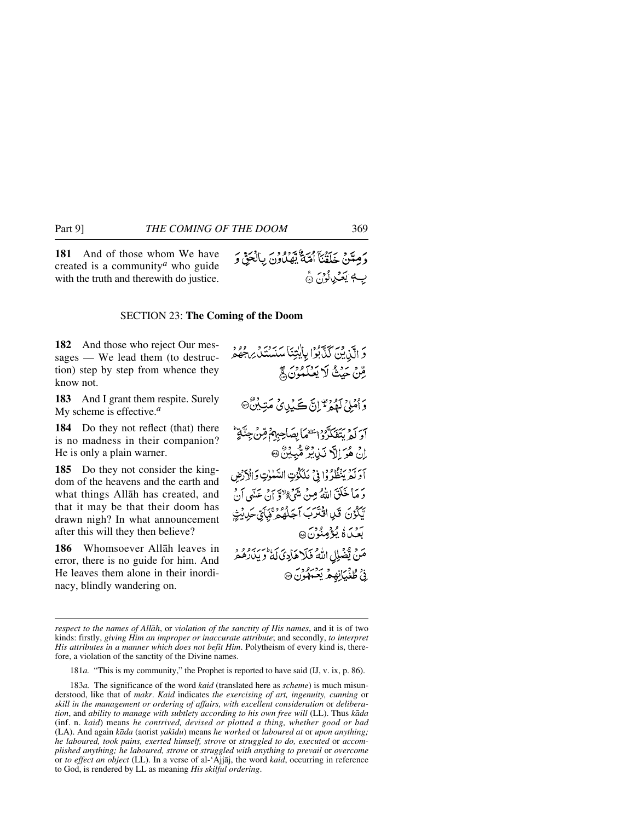## SECTION 23: **The Coming of the Doom**

**182** And those who reject Our messages — We lead them (to destruction) step by step from whence they know not.

**183** And I grant them respite. Surely My scheme is effective.*<sup>a</sup>*

**184** Do they not reflect (that) there is no madness in their companion? He is only a plain warner.

**185** Do they not consider the kingdom of the heavens and the earth and what things Allåh has created, and that it may be that their doom has drawn nigh? In what announcement after this will they then believe?

**186** Whomsoever Allåh leaves in error, there is no guide for him. And He leaves them alone in their inordinacy, blindly wandering on.

وَ الَّذِينَ كَذَّبُوۡ! بِأَيْتِنَا سَنَسۡنَدَلَّ رِجُوۡهُمۡ قِنْ حَيْثُ لَا يَعْلَمُونَ ﴾ وَأَمْلِيُ لَمْهُمْ ثَوْلِنَّ كَحَيْدِيٍّ مَتِينِيْنَ أَوَ لَمْ يَتَغَكَّرُوْا يَتَعَمَّأْ بِصَاحِبِهِمْ قِنْ جِنَّايَةٌ اِنْ هُوَ اِلَّا نَذِيْرٌ مُّبِيْنٌ @ آدَ آدِينُظُرُوْا فِي مَلَكُنُتِ السَّلْوٰتِ وَالْأَرْضِ دَ مَا خَلَقَ اللَّهُ مِنْ شَيْءٍ وَلاَقٍ إِنْ عَيْنِي أَنْ يَكُوْنَ قَلِ اقْتَرَبَ آجَلُهُمْ ثَبَائِيٌ حَدِيثٍ سوسُ کٗ يُؤۡصِنُونَ۞ مَنْ يَّضْلِلِ اللَّهُ فَلَا هَادِيَ لَهُ وَيَدَرَمُو وَ نيُ طُغُيَانِهِمُ يَعْمَلُونَ۞

181*a.* "This is my community," the Prophet is reported to have said (IJ, v. ix, p. 86).

183*a.* The significance of the word *kaid* (translated here as *scheme*) is much misunderstood, like that of *makr*. *Kaid* indicates *the exercising of art, ingenuity, cunning* or *skill in the management or ordering of affairs, with excellent consideration* or *deliberation*, and *ability to manage with subtlety according to his own free will* (LL). Thus *kåda* (inf. n. *kaid*) means *he contrived, devised or plotted a thing, whether good or bad* (LA). And again *kåda* (aorist *yakßdu*) means *he worked* or *laboured at* or *upon anything; he laboured, took pains, exerted himself, strove* or *struggled to do, executed* or *accomplished anything; he laboured, strove* or *struggled with anything to prevail* or *overcome* or *to effect an object* (LL). In a verse of al-'Ajjåj, the word *kaid*, occurring in reference to God, is rendered by LL as meaning *His skilful ordering*.

*respect to the names of Allåh*, or *violation of the sanctity of His names*, and it is of two kinds: firstly, *giving Him an improper or inaccurate attribute*; and secondly, *to interpret His attributes in a manner which does not befit Him*. Polytheism of every kind is, therefore, a violation of the sanctity of the Divine names.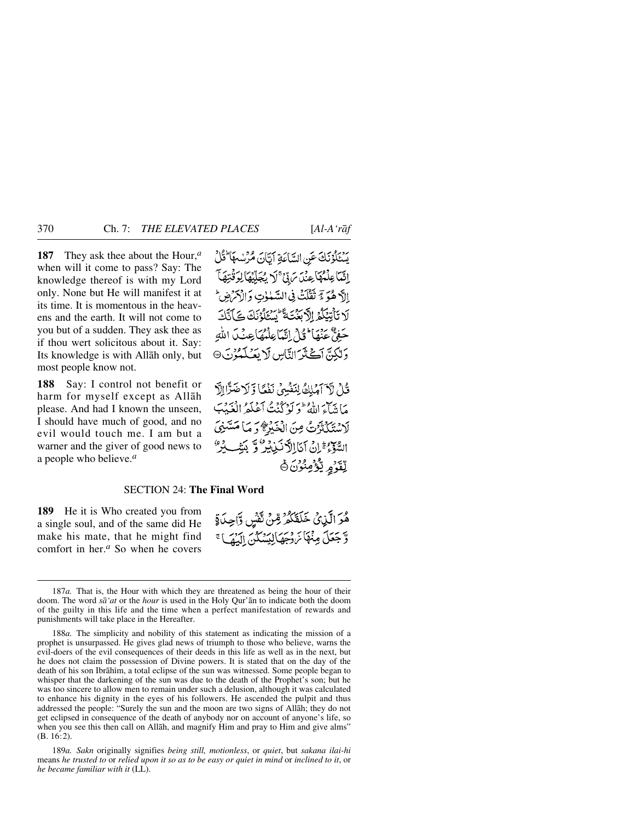**187** They ask thee about the Hour,*<sup>a</sup>* when will it come to pass? Say: The knowledge thereof is with my Lord only. None but He will manifest it at its time. It is momentous in the heavens and the earth. It will not come to you but of a sudden. They ask thee as if thou wert solicitous about it. Say: Its knowledge is with Allåh only, but

**188** Say: I control not benefit or harm for myself except as Allåh please. And had I known the unseen, I should have much of good, and no evil would touch me. I am but a warner and the giver of good news to a people who believe.*<sup>a</sup>*

most people know not.

يسْتَلْؤُنَكَ عَنِ السَّاعَةِ الِيَّانَ مُرْسْمَا كُلُّ إِنَّمَا عِلْمُهَا عِنْدَ يَنَ ۚ لَا يُجَلِّيْهَا لِوَقَٰتِهَا ۖ إلَّ هُوَ لَا تَقَلَّتُ فِي السَّهْوٰتِ وَ الْأَمْرُضِ ۖ لَا تَأْتِيَكُمُ الْأَبَغَتَةَ كُنْتُمْ الْمُتَلَوَّنَكَ كَلَّتَكَ حَفِيٌّ عَنْهَا ۖ فَإِنَّى إِنَّهَا عِلْمُهَا عِنْكَ اللَّهِ وَلَكِنَّ آَكَّنَّرَ النَّاسِ لَا يَعۡكَمُوْنَ۞

قُلْ لَا آمَلِكُ لِنَفْسِيُ نَفْعًا وَلَاضَرَّا إِلَّا مَاتِيَا وَاللَّهُ ۖ وَ لَوْ كُنْتُ أَعْلَمُ الْغَيْبَ لَاسْتَكْثَرَتْ مِنَ الْخَيْرَةُ وَ مَا مَسَّنِيَ السَّوْءُ إِنْ آيَا اِلَّا نَبِيلِهِ وَ بِيَنِّكُ لَهِ لِّقَرْمِ يُّؤْمِنُوْنَ۞

## SECTION 24: **The Final Word**

**189** He it is Who created you from a single soul, and of the same did He make his mate, that he might find comfort in her.*<sup>a</sup>* So when he covers هُوَ الَّذِيْ خَلَقَكُمْ مِّنْ ثَفْسٍ وَّاحِدَةٍ وَّجْعَلَ مِنْهَا مَّ دِجَهَالِيَسْكُنَّ الْبَقِيَا ۚ

<sup>187</sup>*a.* That is, the Hour with which they are threatened as being the hour of their doom. The word *så'at* or the *hour* is used in the Holy Qur'ån to indicate both the doom of the guilty in this life and the time when a perfect manifestation of rewards and punishments will take place in the Hereafter.

<sup>188</sup>*a.* The simplicity and nobility of this statement as indicating the mission of a prophet is unsurpassed. He gives glad news of triumph to those who believe, warns the evil-doers of the evil consequences of their deeds in this life as well as in the next, but he does not claim the possession of Divine powers. It is stated that on the day of the death of his son Ibrāhīm, a total eclipse of the sun was witnessed. Some people began to whisper that the darkening of the sun was due to the death of the Prophet's son; but he was too sincere to allow men to remain under such a delusion, although it was calculated to enhance his dignity in the eyes of his followers. He ascended the pulpit and thus addressed the people: "Surely the sun and the moon are two signs of Allåh; they do not get eclipsed in consequence of the death of anybody nor on account of anyone's life, so when you see this then call on Allåh, and magnify Him and pray to Him and give alms" (B. 16:2).

<sup>189</sup>*a. Sakn* originally signifies *being still, motionless*, or *quiet*, but *sakana ilai-hi* means *he trusted to* or *relied upon it so as to be easy or quiet in mind* or *inclined to it*, or *he became familiar with it* (LL).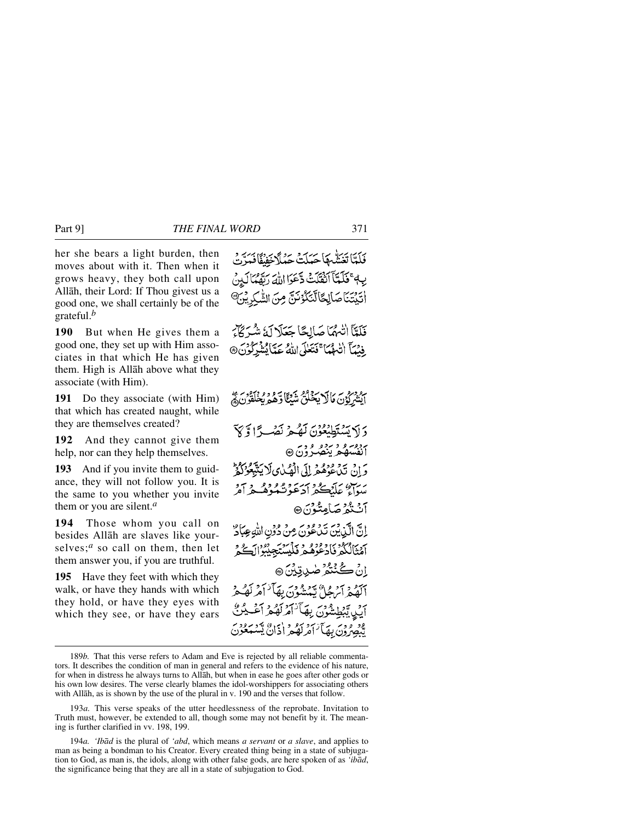her she bears a light burden, then moves about with it. Then when it grows heavy, they both call upon Allåh, their Lord: If Thou givest us a good one, we shall certainly be of the grateful.*<sup>b</sup>*

**190** But when He gives them a good one, they set up with Him associates in that which He has given them. High is Allåh above what they associate (with Him).

**191** Do they associate (with Him) that which has created naught, while they are themselves created?

**192** And they cannot give them help, nor can they help themselves.

**193** And if you invite them to guidance, they will not follow you. It is the same to you whether you invite them or you are silent.*<sup>a</sup>*

**194** Those whom you call on besides Allåh are slaves like yourselves;<sup>*a*</sup> so call on them, then let them answer you, if you are truthful.

**195** Have they feet with which they walk, or have they hands with which they hold, or have they eyes with which they see, or have they ears

فَلَمَّا تَعَشَّمِهَا حَيَلَتْ حَبْلًا خَفْفًا فَيَدِّي يِهِ ۚ فَلَمَّآ أَنْقُلَتْ ذَّعَوَا اللَّهَ رَبَّهُمُّآ لَهِنَ اٰتَيْتَنَاصَالِكَالَّتَكُوْنَنَّ مِنَ الشَّكِرِيْنَ فَلَمَّأَ انْهُمْاً صَالِحًا جَعَلَا لَهُ شُرَكَّاتِهِ فِيْهَآ اللَّهُمَا ۚ فَتَعَلَّى اللَّهُ عَمَّا يُشْرِكُونَ ۞ أَيْشَرِكُوْنَ مَالَا يَحْلُثُ شَيْئًا وَّهُمْ يُخْلَقُونَ ﴾ دَ لَا تَسْتَطِيْعُوْنَ لَمْكُنَّ نَصْبِرًا وَكَبَرَ بروسره و برده و وي<br>انفسهم ينصرون ® وَإِنْ تَدْعُوهُ فِرِ إِلَى الْهُبَايِ لَا يَتَّبِعُوْكُمْ سَوَاءٌ عَلَيْكُمْ أَدَعَوْتُكُوهُ لِمَرْآمَرُ آٺُندُ صَامِتُوْنَ® انَّ الَّذِينَ تَدْعُونَ مِنْ دُونِ اللَّهِ عِبَادٌ آهُنَالُكُمْ فَادْعُوْهُمْ فَلَيْسَتَجِبْنُوا ٱكُجْ اِنْ ڪُنٽُمُ صٰدِيتِيْنَ @ .<br>القيمر ايرها" پيشون بهآ' امريكې أَيْنِ تَبْطِيشُوْنَ بِهَأَنَهُمْ كَفَعْرَ ود ودس بعد آخر کو د (ذاڻ يه

<sup>189</sup>*b.* That this verse refers to Adam and Eve is rejected by all reliable commentators. It describes the condition of man in general and refers to the evidence of his nature, for when in distress he always turns to Allåh, but when in ease he goes after other gods or his own low desires. The verse clearly blames the idol-worshippers for associating others with Allåh, as is shown by the use of the plural in v. 190 and the verses that follow.

<sup>193</sup>*a.* This verse speaks of the utter heedlessness of the reprobate. Invitation to Truth must, however, be extended to all, though some may not benefit by it. The meaning is further clarified in vv. 198, 199.

<sup>194</sup>*a. 'Ibåd* is the plural of *'abd*, which means *a servant* or *a slave*, and applies to man as being a bondman to his Creator. Every created thing being in a state of subjugation to God, as man is, the idols, along with other false gods, are here spoken of as *'ibåd*, the significance being that they are all in a state of subjugation to God.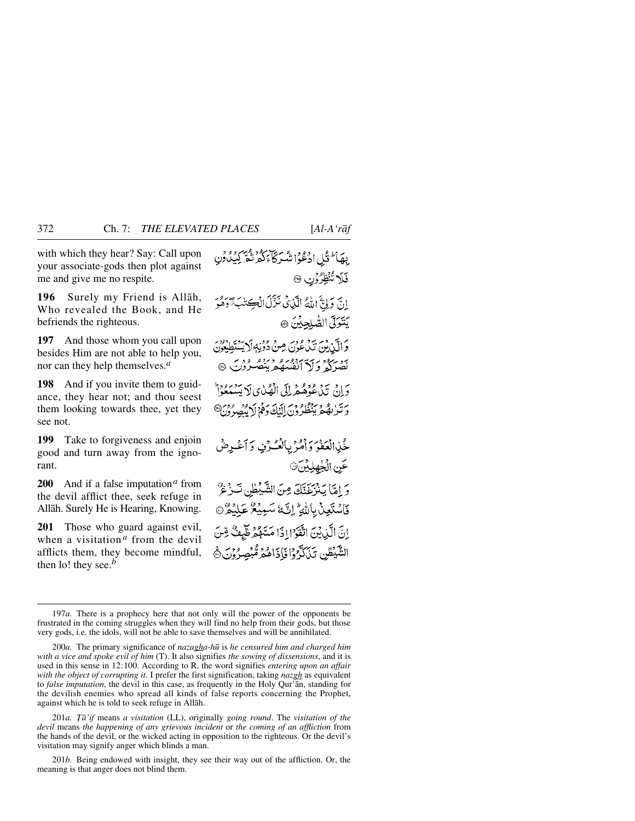with which they hear? Say: Call upon your associate-gods then plot against me and give me no respite.

**196** Surely my Friend is Allåh, Who revealed the Book, and He befriends the righteous.

**197** And those whom you call upon besides Him are not able to help you, nor can they help themselves.*<sup>a</sup>*

**198** And if you invite them to guidance, they hear not; and thou seest them looking towards thee, yet they see not.

**199** Take to forgiveness and enjoin good and turn away from the ignorant.

**200** And if a false imputation*<sup>a</sup>* from the devil afflict thee, seek refuge in Allåh. Surely He is Hearing, Knowing.

**201** Those who guard against evil, when a visitation *<sup>a</sup>* from the devil afflicts them, they become mindful, then lo! they see.*<sup>b</sup>*

```
بِهَا لَّذُكِّلِ ادْعُوا شَرِكَاءَ كُهُ تُمَّ كِيَكُونِ
                                  فَلَا تُنْظِرُوْنِ ®
 إِنَّ دَلِيَّ إِلَٰهُ الَّذِي نَزَّلَ انْكِتَلْبَ َّدَهُوَ
                             يَتَوَلَّى الصَّلِحِيْنَ ۞
و الآن من برد و دير من دونه لايستطيعون<br>و الآن من عون مِنْ دُونِهِ لايستطِيعُونَ
  بر برد و در در در در در در در در با<br>نصر کی و که انفسان بیصگروت ۴۰۰
وَإِنْ تَدْعُوْهُ هُرِلِكَ الْهُبْايِ لَا يَسْتَعُوْاْ
وَتَرْبِهُمْ يَنْظُرُونَ إِلَيْكَ دَهُّ لِايْبِصِرُونَ®
 خُّذِالْعَفُوَ وَأَمُّرُ بِالْعُكْرُفِ وَأَعْرِضُ
                                 عَنِ الْخِهِلِيْنَ۞
  دُ إِمَّا يَنْزَعَنَّكَ مِنَ الشَّيْطِينِ نَبِرْعُ
```
فَاسْتَعِنْ بِاللَّهِ ۚ إِنَّ لَهُ سَبِيْعٌ عَلَيْهُ ۚ وَ إِنَّ الَّذِيْنَ اتَّقَوَّا إِذَا مَسَّهُمْ طَٰبِعَثٌ مِّنَ الشَّيْطُنِ تَبْكَدَّهُوْا فَإِذَاهُمْ مُّبْصِرُوْنَ ۞

201*a. Tā'if* means *a visitation* (LL), originally *going round*. The *visitation of the devil* means *the happening of any grievous incident* or *the coming of an affliction* from the hands of the devil, or the wicked acting in opposition to the righteous. Or the devil's visitation may signify anger which blinds a man.

201*b.* Being endowed with insight, they see their way out of the affliction. Or, the meaning is that anger does not blind them.

<sup>197</sup>*a.* There is a prophecy here that not only will the power of the opponents be frustrated in the coming struggles when they will find no help from their gods, but those very gods, i.e. the idols, will not be able to save themselves and will be annihilated.

<sup>200</sup>*a.* The primary significance of *nazagha-h∂* is *he censured him and charged him with a vice and spoke evil of him* (T). It also signifies *the sowing of dissensions*, and it is used in this sense in 12:100. According to R, the word signifies *entering upon an affair with the object of corrupting it*. I prefer the first signification, taking *nazgh* as equivalent to *false imputation*, the devil in this case, as frequently in the Holy Qur'ån, standing for the devilish enemies who spread all kinds of false reports concerning the Prophet, against which he is told to seek refuge in Allåh.